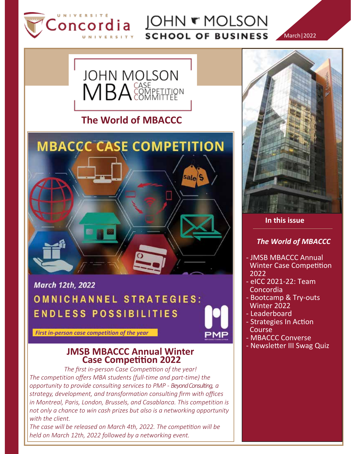

JOHN **T** MOLSON **SCHOOL OF BUSINESS** 

March|2022



**The World of MBACCC**



**March 12th, 2022** OMNICHANNEL STRATEGIES: **ENDLESS POSSIBILITIES** 

*First in-person case competition of the year*

### **JMSB MBACCC Annual Winter Case Competition 2022**

*The first in-person Case Competition of the year! The competition offers MBA students (full-time and part-time) the opportunity to provide consulting services to PMP - Beyond Consulting, a strategy, development, and transformation consulting firm with offices in Montreal, Paris, London, Brussels, and Casablanca. This competition is not only a chance to win cash prizes but also is a networking opportunity with the client.*

*The case will be released on March 4th, 2022. The competition will be held on March 12th, 2022 followed by a networking event.*



 **In this issue**

### *The World of MBACCC*

- JMSB MBACCC Annual Winter Case Competition 2022
- eICC 2021-22: Team Concordia
- Bootcamp & Try-outs Winter 2022
- Leaderboard
- Strategies In Action Course
- MBACCC Converse
- Newsletter III Swag Quiz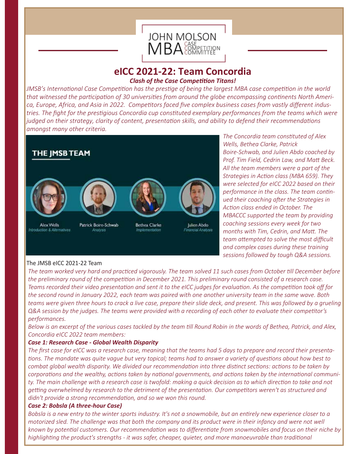

### **eICC 2021-22: Team Concordia** *Clash of the Case Competition Titans!*

*JMSB's International Case Competition has the prestige of being the largest MBA case competition in the world that witnessed the participation of 30 universities from around the globe encompassing continents North America, Europe, Africa, and Asia in 2022. Competitors faced five complex business cases from vastly different industries. The fight for the prestigious Concordia cup constituted exemplary performances from the teams which were judged on their strategy, clarity of content, presentation skills, and ability to defend their recommendations amongst many other criteria.*



*The Concordia team constituted of Alex Wells, Bethea Clarke, Patrick Boire-Schwab, and Julien Abdo coached by Prof. Tim Field, Cedrin Law, and Matt Beck. All the team members were a part of the Strategies in Action class (MBA 659). They were selected for eICC 2022 based on their performance in the class. The team continued their coaching after the Strategies in Action class ended in October. The MBACCC supported the team by providing coaching sessions every week for two months with Tim, Cedrin, and Matt. The team attempted to solve the most difficult and complex cases during these training sessions followed by tough Q&A sessions.* 

### The JMSB eICC 2021-22 Team

*The team worked very hard and practiced vigorously. The team solved 11 such cases from October till December before the preliminary round of the competition in December 2021. This preliminary round consisted of a research case. Teams recorded their video presentation and sent it to the eICC judges for evaluation. As the competition took off for the second round in January 2022, each team was paired with one another university team in the same wave. Both teams were given three hours to crack a live case, prepare their slide deck, and present. This was followed by a grueling Q&A session by the judges. The teams were provided with a recording of each other to evaluate their competitor's performances.*

*Below is an excerpt of the various cases tackled by the team till Round Robin in the words of Bethea, Patrick, and Alex, Concordia eICC 2022 team members:*

### *Case 1: Research Case - Global Wealth Disparity*

*The first case for eICC was a research case, meaning that the teams had 5 days to prepare and record their presentations. The mandate was quite vague but very topical; teams had to answer a variety of questions about how best to combat global wealth disparity. We divided our recommendation into three distinct sections: actions to be taken by corporations and the wealthy, actions taken by national governments, and actions taken by the international communi*ty. The main challenge with a research case is twofold: making a quick decision as to which direction to take and not *getting overwhelmed by research to the detriment of the presentation. Our competitors weren't as structured and didn't provide a strong recommendation, and so we won this round.*

### *Case 2: Bobsla (A three-hour Case)*

*Bobsla is a new entry to the winter sports industry. It's not a snowmobile, but an entirely new experience closer to a motorized sled. The challenge was that both the company and its product were in their infancy and were not well known by potential customers. Our recommendation was to differentiate from snowmobiles and focus on their niche by highlighting the product's strengths - it was safer, cheaper, quieter, and more manoeuvrable than traditional*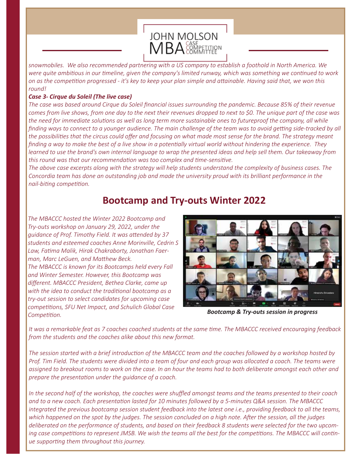

*snowmobiles. We also recommended partnering with a US company to establish a foothold in North America. We were quite ambitious in our timeline, given the company's limited runway, which was something we continued to work on as the competition progressed - it's key to keep your plan simple and attainable. Having said that, we won this round!*

### *Case 3- Cirque du Soleil (The live case)*

*The case was based around Cirque du Soleil financial issues surrounding the pandemic. Because 85% of their revenue comes from live shows, from one day to the next their revenues dropped to next to \$0. The unique part of the case was the need for immediate solutions as well as long term more sustainable ones to futureproof the company, all while finding ways to connect to a younger audience. The main challenge of the team was to avoid getting side-tracked by all the possibilities that the circus could offer and focusing on what made most sense for the brand. The strategy meant finding a way to make the best of a live show in a potentially virtual world without hindering the experience. They learned to use the brand's own internal language to wrap the presented ideas and help sell them. Our takeaway from this round was that our recommendation was too complex and time-sensitive.*

*The above case excerpts along with the strategy will help students understand the complexity of business cases. The Concordia team has done an outstanding job and made the university proud with its brilliant performance in the nail-biting competition.*

## **Bootcamp and Try-outs Winter 2022**

*The MBACCC hosted the Winter 2022 Bootcamp and Try-outs workshop on January 29, 2022, under the guidance of Prof. Timothy Field. It was attended by 37 students and esteemed coaches Anne Morinville, Cedrin S Law, Fatima Malik, Hirak Chakraborty, Jonathan Faerman, Marc LeGuen, and Matthew Beck. The MBACCC is known for its Bootcamps held every Fall and Winter Semester. However, this Bootcamp was different. MBACCC President, Bethea Clarke, came up with the idea to conduct the traditional bootcamp as a try-out session to select candidates for upcoming case competitions, SFU Net Impact, and Schulich Global Case Competition. Bootcamp & Try-outs session in progress*



*It was a remarkable feat as 7 coaches coached students at the same time. The MBACCC received encouraging feedback from the students and the coaches alike about this new format.*

*The session started with a brief introduction of the MBACCC team and the coaches followed by a workshop hosted by Prof. Tim Field. The students were divided into a team of four and each group was allocated a coach. The teams were assigned to breakout rooms to work on the case. In an hour the teams had to both deliberate amongst each other and prepare the presentation under the guidance of a coach.* 

*In the second half of the workshop, the coaches were shuffled amongst teams and the teams presented to their coach and to a new coach. Each presentation lasted for 10 minutes followed by a 5-minutes Q&A session. The MBACCC integrated the previous bootcamp session student feedback into the latest one i.e., providing feedback to all the teams, which happened on the spot by the judges. The session concluded on a high note. After the session, all the judges deliberated on the performance of students, and based on their feedback 8 students were selected for the two upcoming case competitions to represent JMSB. We wish the teams all the best for the competitions. The MBACCC will continue supporting them throughout this journey.*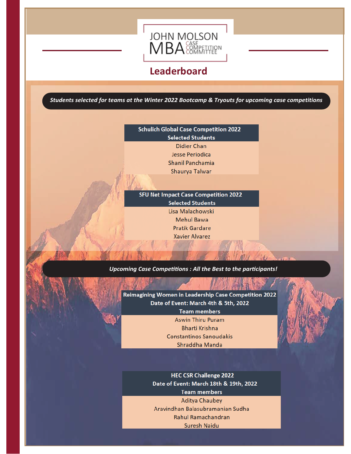

## **Leaderboard**

*Students selected for teams at the Winter 2022 Bootcamp & Tryouts for upcoming case competitions*

### **Schulich Global Case Competition 2022 Selected Students Didier Chan** Jesse Periodica Shanil Panchamia

Shaurya Talwar

SFU Net Impact Case Competition 2022 **Selected Students** Lisa Malachowski **Mehul Bawa Pratik Gardare Xavier Alvarez** 

#### *Upcoming Case Competitions : All the Best to the participants!*

Reimagining Women in Leadership Case Competition 2022 Date of Event: March 4th & 5th, 2022

**Team members** 

**Aswin Thiru Puram Bharti Krishna Constantinos Sanoudakis** Shraddha Manda

**HEC CSR Challenge 2022** Date of Event: March 18th & 19th, 2022 **Team members Aditya Chaubey** Aravindhan Balasubramanian Sudha Rahul Ramachandran **Suresh Naidu**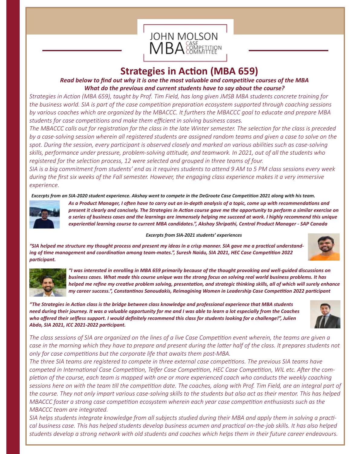

## **Strategies in Action (MBA 659)**

*Read below to find out why it is one the most valuable and competitive courses of the MBA What do the previous and current students have to say about the course?* 

*Strategies in Action (MBA 659), taught by Prof. Tim Field, has long given JMSB MBA students concrete training for the business world. SIA is part of the case competition preparation ecosystem supported through coaching sessions by various coaches which are organized by the MBACCC. It furthers the MBACCC goal to educate and prepare MBA students for case competitions and make them efficient in solving business cases.*

*The MBACCC calls out for registration for the class in the late Winter semester. The selection for the class is preceded by a case-solving session wherein all registered students are assigned random teams and given a case to solve on the spot. During the session, every participant is observed closely and marked on various abilities such as case-solving skills, performance under pressure, problem-solving attitude, and teamwork. In 2021, out of all the students who registered for the selection process, 12 were selected and grouped in three teams of four.* 

*SIA is a big commitment from students' end as it requires students to attend 9 AM to 5 PM class sessions every week during the first six weeks of the Fall semester. However, the engaging class experience makes it a very immersive experience.*

*Excerpts from an SIA-2020 student experience. Akshay went to compete in the DeGroote Case Competition 2021 along with his team.* 



*As a Product Manager, I often have to carry out an in-depth analysis of a topic, come up with recommendations and present it clearly and concisely. The Strategies in Action course gave me the opportunity to perform a similar exercise on a series of business cases and the learnings are immensely helping me succeed at work. I highly recommend this unique experiential learning course to current MBA candidates.", Akshay Shripathi, Central Product Manager - SAP Canada*

*Excerpts from SIA-2021 students' experiences*

*"SIA helped me structure my thought process and present my ideas in a crisp manner. SIA gave me a practical understanding of time management and coordination among team-mates.", Suresh Naidu, SIA 2021, HEC Case Competition 2022 participant.*





*"I was interested in enrolling in MBA 659 primarily because of the thought provoking and well-guided discussions on business cases. What made this course unique was the strong focus on solving real world business problems. It has helped me refine my creative problem solving, presentation, and strategic thinking skills, all of which will surely enhance my career success.", Constantinos Sanoudakis, Reimagining Women in Leadership Case Competition 2022 participant*

*"The Strategies in Action class is the bridge between class knowledge and professional experience that MBA students need during their journey. It was a valuable opportunity for me and I was able to learn a lot especially from the Coaches who offered their selfless support. I would definitely recommend this class for students looking for a challenge!", Julien Abdo, SIA 2021, ICC 2021-2022 participant.*



*The class sessions of SIA are organized on the lines of a live Case Competition event wherein, the teams are given a case in the morning which they have to prepare and present during the latter half of the class. It prepares students not only for case competitions but the corporate life that awaits them post-MBA.*

*The three SIA teams are registered to compete in three external case competitions. The previous SIA teams have competed in International Case Competition, Telfer Case Competition, HEC Case Competition, WIL etc. After the completion of the course, each team is mapped with one or more experienced coach who conducts the weekly coaching sessions here on with the team till the competition date. The coaches, along with Prof. Tim Field, are an integral part of the course. They not only impart various case-solving skills to the students but also act as their mentor. This has helped MBACCC foster a strong case competition ecosystem wherein each year case competition enthusiasts such as the MBACCC team are integrated.*

*SIA helps students integrate knowledge from all subjects studied during their MBA and apply them in solving a practical business case. This has helped students develop business acumen and practical on-the-job skills. It has also helped students develop a strong network with old students and coaches which helps them in their future career endeavours.*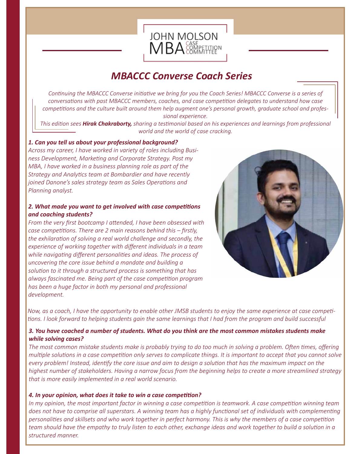

# *MBACCC Converse Coach Series*

*Continuing the MBACCC Converse initiative we bring for you the Coach Series! MBACCC Converse is a series of conversations with past MBACCC members, coaches, and case competition delegates to understand how case competitions and the culture built around them help augment one's personal growth, graduate school and professional experience.*

*This edition sees Hirak Chakraborty, sharing a testimonial based on his experiences and learnings from professional world and the world of case cracking.*

### *1. Can you tell us about your professional background?*

*Across my career, I have worked in variety of roles including Business Development, Marketing and Corporate Strategy. Post my MBA, I have worked in a business planning role as part of the Strategy and Analytics team at Bombardier and have recently joined Danone's sales strategy team as Sales Operations and Planning analyst.*

### *2. What made you want to get involved with case competitions and coaching students?*

*From the very first bootcamp I attended, I have been obsessed with case competitions. There are 2 main reasons behind this – firstly, the exhilaration of solving a real world challenge and secondly, the experience of working together with different individuals in a team while navigating different personalities and ideas. The process of uncovering the core issue behind a mandate and building a solution to it through a structured process is something that has always fascinated me. Being part of the case competition program has been a huge factor in both my personal and professional development.*



*Now, as a coach, I have the opportunity to enable other JMSB students to enjoy the same experience at case competi*tions. I look forward to helping students gain the same learnings that I had from the program and build successful

### *3. You have coached a number of students. What do you think are the most common mistakes students make while solving cases?*

*The most common mistake students make is probably trying to do too much in solving a problem. Often times, offering multiple solutions in a case competition only serves to complicate things. It is important to accept that you cannot solve every problem! Instead, identify the core issue and aim to design a solution that has the maximum impact on the highest number of stakeholders. Having a narrow focus from the beginning helps to create a more streamlined strategy that is more easily implemented in a real world scenario.*

### *4. In your opinion, what does it take to win a case competition?*

*In my opinion, the most important factor in winning a case competition is teamwork. A case competition winning team does not have to comprise all superstars. A winning team has a highly functional set of individuals with complementing personalities and skillsets and who work together in perfect harmony. This is why the members of a case competition team should have the empathy to truly listen to each other, exchange ideas and work together to build a solution in a structured manner.*